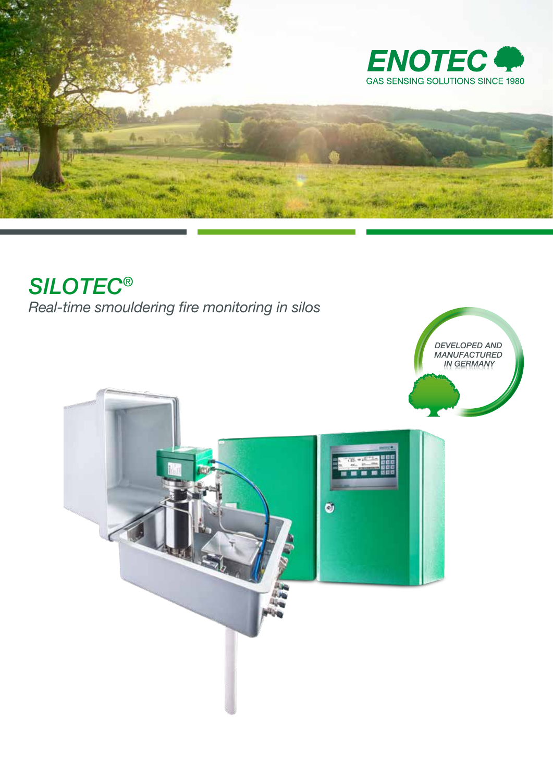

# *SILOTEC*®

*Real-time smouldering fire monitoring in silos*

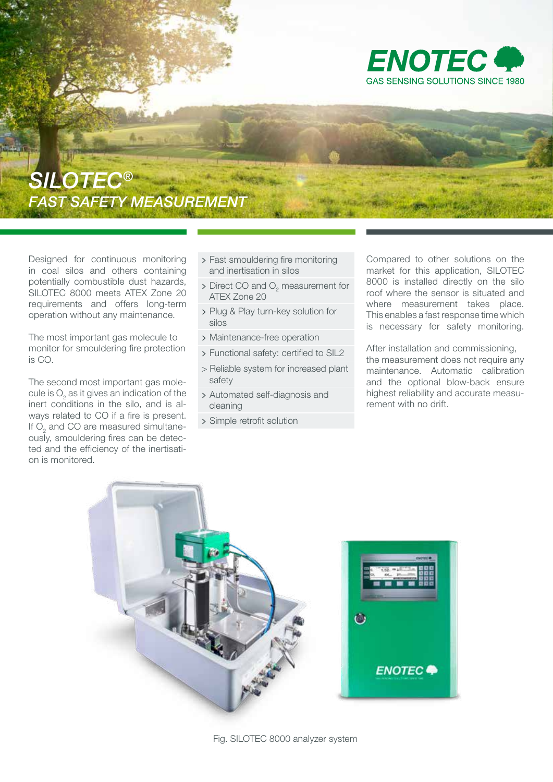

## *SILOTEC® FAST SAFETY MEASUREMENT*

Designed for continuous monitoring in coal silos and others containing potentially combustible dust hazards, SILOTEC 8000 meets ATEX Zone 20 requirements and offers long-term operation without any maintenance.

The most important gas molecule to monitor for smouldering fire protection is CO.

The second most important gas molecule is  $\mathrm{O}_2$  as it gives an indication of the inert conditions in the silo, and is always related to CO if a fire is present. If  $\mathrm{O}_2$  and CO are measured simultaneously, smouldering fires can be detected and the efficiency of the inertisation is monitored.

- > Fast smouldering fire monitoring and inertisation in silos
- $\triangleright$  Direct CO and O<sub>2</sub> measurement for ATEX Zone 20
- > Plug & Play turn-key solution for silos
- > Maintenance-free operation
- > Functional safety: certified to SIL2
- > Reliable system for increased plant safety
- > Automated self-diagnosis and cleaning
- > Simple retrofit solution

Compared to other solutions on the market for this application, SILOTEC 8000 is installed directly on the silo roof where the sensor is situated and where measurement takes place. This enables a fast response time which is necessary for safety monitoring.

After installation and commissioning, the measurement does not require any maintenance. Automatic calibration and the optional blow-back ensure highest reliability and accurate measurement with no drift.

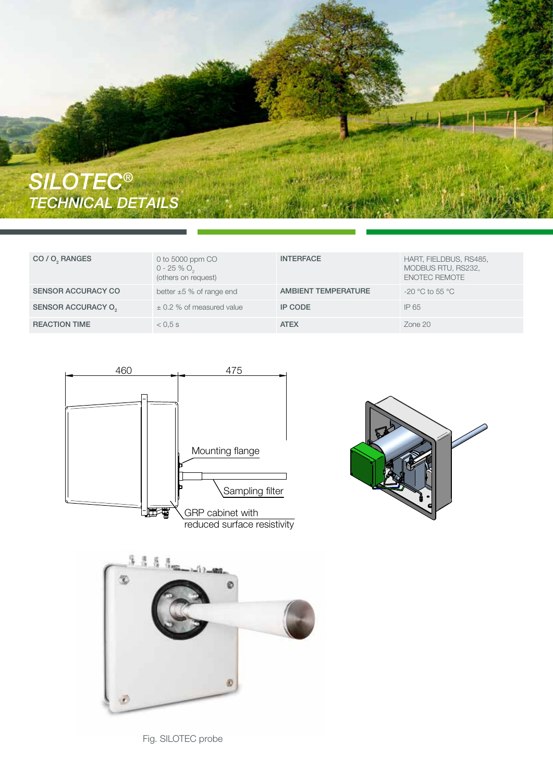

| CO / O <sub>2</sub> RANGES | 0 to 5000 ppm CO<br>$0 - 25 %$ , $O2$<br>(others on request) | <b>INTERFACE</b>           | HART, FIELDBUS, RS485,<br>MODBUS RTU, RS232,<br><b>ENOTEC REMOTE</b> |
|----------------------------|--------------------------------------------------------------|----------------------------|----------------------------------------------------------------------|
| <b>SENSOR ACCURACY CO</b>  | better $\pm 5$ % of range end                                | <b>AMBIENT TEMPERATURE</b> | -20 $^{\circ}$ C to 55 $^{\circ}$ C                                  |
| SENSOR ACCURACY O          | $\pm$ 0.2 % of measured value                                | <b>IP CODE</b>             | IP 65                                                                |
| <b>REACTION TIME</b>       | $< 0.5$ s                                                    | <b>ATEX</b>                | $Z$ one $20$                                                         |







Fig. SILOTEC probe